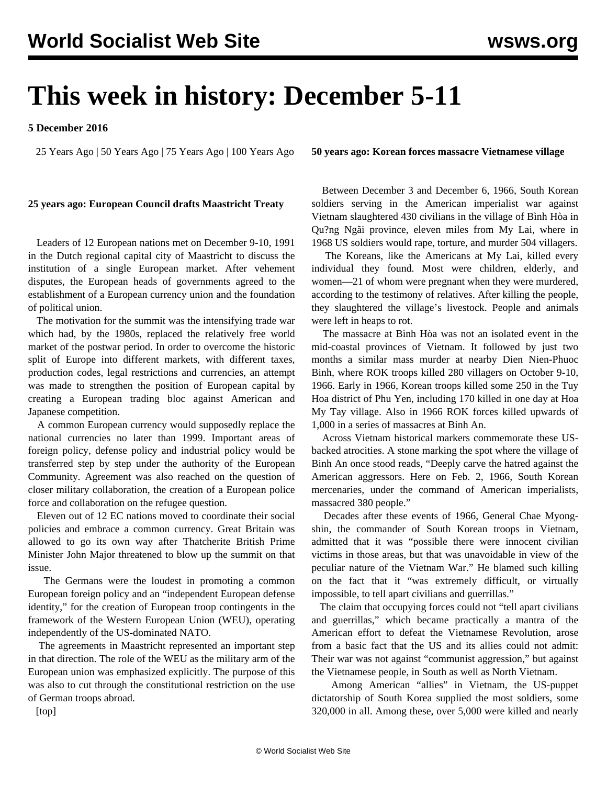# **This week in history: December 5-11**

## **5 December 2016**

25 Years Ago | 50 Years Ago | 75 Years Ago | 100 Years Ago

#### **25 years ago: European Council drafts Maastricht Treaty**

 Leaders of 12 European nations met on December 9-10, 1991 in the Dutch regional capital city of Maastricht to discuss the institution of a single European market. After vehement disputes, the European heads of governments agreed to the establishment of a European currency union and the foundation of political union.

 The motivation for the summit was the intensifying trade war which had, by the 1980s, replaced the relatively free world market of the postwar period. In order to overcome the historic split of Europe into different markets, with different taxes, production codes, legal restrictions and currencies, an attempt was made to strengthen the position of European capital by creating a European trading bloc against American and Japanese competition.

 A common European currency would supposedly replace the national currencies no later than 1999. Important areas of foreign policy, defense policy and industrial policy would be transferred step by step under the authority of the European Community. Agreement was also reached on the question of closer military collaboration, the creation of a European police force and collaboration on the refugee question.

 Eleven out of 12 EC nations moved to coordinate their social policies and embrace a common currency. Great Britain was allowed to go its own way after Thatcherite British Prime Minister John Major threatened to blow up the summit on that issue.

 The Germans were the loudest in promoting a common European foreign policy and an "independent European defense identity," for the creation of European troop contingents in the framework of the Western European Union (WEU), operating independently of the US-dominated NATO.

 The agreements in Maastricht represented an important step in that direction. The role of the WEU as the military arm of the European union was emphasized explicitly. The purpose of this was also to cut through the constitutional restriction on the use of German troops abroad.

**50 years ago: Korean forces massacre Vietnamese village**

 Between December 3 and December 6, 1966, South Korean soldiers serving in the American imperialist war against Vietnam slaughtered 430 civilians in the village of Bình Hòa in Qu?ng Ngãi province, eleven miles from My Lai, where in 1968 US soldiers would rape, torture, and murder 504 villagers.

 The Koreans, like the Americans at My Lai, killed every individual they found. Most were children, elderly, and women—21 of whom were pregnant when they were murdered, according to the testimony of relatives. After killing the people, they slaughtered the village's livestock. People and animals were left in heaps to rot.

 The massacre at Bình Hòa was not an isolated event in the mid-coastal provinces of Vietnam. It followed by just two months a similar mass murder at nearby Dien Nien-Phuoc Binh, where ROK troops killed 280 villagers on October 9-10, 1966. Early in 1966, Korean troops killed some 250 in the Tuy Hoa district of Phu Yen, including 170 killed in one day at Hoa My Tay village. Also in 1966 ROK forces killed upwards of 1,000 in a series of massacres at Binh An.

 Across Vietnam historical markers commemorate these USbacked atrocities. A stone marking the spot where the village of Binh An once stood reads, "Deeply carve the hatred against the American aggressors. Here on Feb. 2, 1966, South Korean mercenaries, under the command of American imperialists, massacred 380 people."

 Decades after these events of 1966, General Chae Myongshin, the commander of South Korean troops in Vietnam, admitted that it was "possible there were innocent civilian victims in those areas, but that was unavoidable in view of the peculiar nature of the Vietnam War." He blamed such killing on the fact that it "was extremely difficult, or virtually impossible, to tell apart civilians and guerrillas."

 The claim that occupying forces could not "tell apart civilians and guerrillas," which became practically a mantra of the American effort to defeat the Vietnamese Revolution, arose from a basic fact that the US and its allies could not admit: Their war was not against "communist aggression," but against the Vietnamese people, in South as well as North Vietnam.

 Among American "allies" in Vietnam, the US-puppet dictatorship of South Korea supplied the most soldiers, some 320,000 in all. Among these, over 5,000 were killed and nearly

[top]